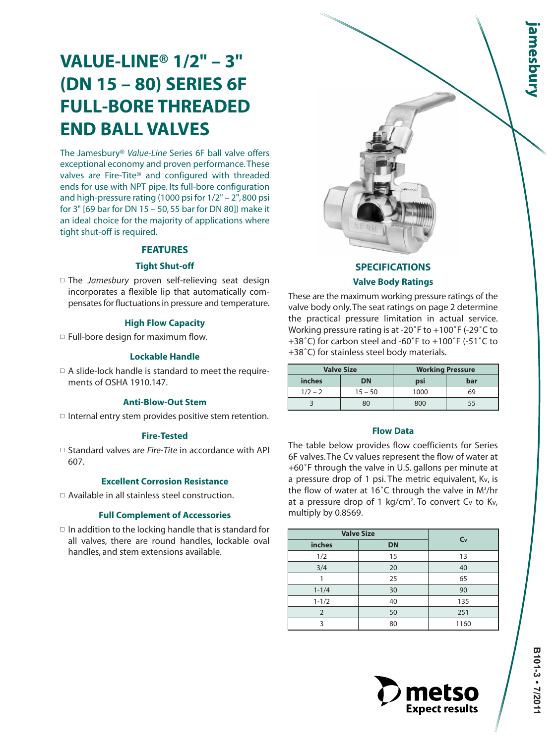# **VALUE-LINE® 1/2" – 3" (DN 15 – 80) SERIES 6F FULL-BORE THREADED END BALL VALVES**

The Jamesbury® *Value-Line* Series 6F ball valve offers exceptional economy and proven performance.These valves are Fire-Tite® and configured with threaded ends for use with NPT pipe. Its full-bore configuration and high-pressure rating (1000 psi for 1/2" – 2", 800 psi for 3" [69 bar for DN 15 – 50, 55 bar for DN 80]) make it an ideal choice for the majority of applications where tight shut-off is required.

### **FEATURES**

### **Tight Shut-off**

■ The *Jamesbury* proven self-relieving seat design incorporates a flexible lip that automatically compensates for fluctuations in pressure and temperature.

### **High Flow Capacity**

 $\Box$  Full-bore design for maximum flow.

### **Lockable Handle**

 $\Box$  A slide-lock handle is standard to meet the requirements of OSHA 1910.147.

### **Anti-Blow-Out Stem**

 $\Box$  Internal entry stem provides positive stem retention.

### **Fire-Tested**

□ Standard valves are *Fire-Tite* in accordance with API 607.

### **Excellent Corrosion Resistance**

□ Available in all stainless steel construction.

### **Full Complement of Accessories**

 $\Box$  In addition to the locking handle that is standard for all valves, there are round handles, lockable oval handles, and stem extensions available.



## **SPECIFICATIONS Valve Body Ratings**

These are the maximum working pressure ratings of the valve body only.The seat ratings on page 2 determine the practical pressure limitation in actual service. Working pressure rating is at -20˚F to +100˚F (-29˚C to +38˚C) for carbon steel and -60˚F to +100˚F (-51˚C to +38˚C) for stainless steel body materials.

|               | <b>Valve Size</b> | <b>Working Pressure</b> |     |  |
|---------------|-------------------|-------------------------|-----|--|
| <i>inches</i> | DN                | psi                     | bar |  |
| $1/2 - 2$     | $15 - 50$         | 1000                    | 69  |  |
|               | 800<br>80         |                         |     |  |

### **Flow Data**

The table below provides flow coefficients for Series 6F valves. The Cv values represent the flow of water at +60˚F through the valve in U.S. gallons per minute at a pressure drop of 1 psi. The metric equivalent, Kv, is the flow of water at 16˚C through the valve in M3 /hr at a pressure drop of 1 kg/cm<sup>2</sup>. To convert Cv to Kv, multiply by 0.8569.

|                | <b>Valve Size</b> |         |
|----------------|-------------------|---------|
| inches         | <b>DN</b>         | $C_{V}$ |
| 1/2            | 15                | 13      |
| 3/4            | 20                | 40      |
|                | 25                | 65      |
| $1 - 1/4$      | 30                | 90      |
| $1 - 1/2$      | 40                | 135     |
| $\overline{2}$ | 50                | 251     |
| 3              | 80                | 1160    |

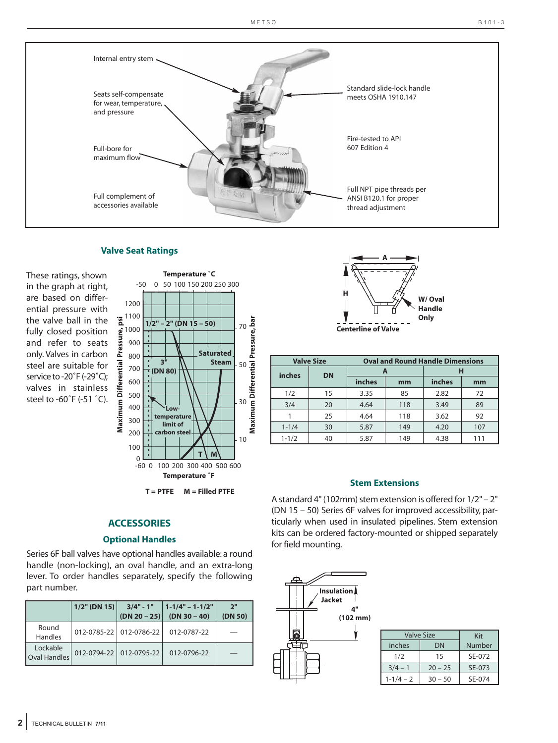

### **Valve Seat Ratings**

These ratings, shown in the graph at right, are based on differential pressure with the valve ball in the fully closed position and refer to seats only. Valves in carbon steel are suitable for service to -20°F (-29°C); valves in stainless steel to -60˚F (-51 ˚C).





### **Optional Handles**

Series 6F ball valves have optional handles available: a round handle (non-locking), an oval handle, and an extra-long lever. To order handles separately, specify the following part number.

|                          | $1/2$ " (DN 15) | $3/4" - 1"$<br>$(DN 20 - 25)$ | $1 - 1/4" - 1 - 1/2"$<br>$(DN 30 - 40)$ | 2 <sup>11</sup><br>(DN 50) |
|--------------------------|-----------------|-------------------------------|-----------------------------------------|----------------------------|
| Round<br>Handles         |                 | 012-0785-22 012-0786-22       | 012-0787-22                             |                            |
| Lockable<br>Oval Handles |                 | 012-0794-22 012-0795-22       | 012-0796-22                             |                            |



| <b>Valve Size</b> |           | <b>Oval and Round Handle Dimensions</b> |     |        |     |  |  |
|-------------------|-----------|-----------------------------------------|-----|--------|-----|--|--|
| inches            | <b>DN</b> |                                         |     | н      |     |  |  |
|                   |           | inches                                  | mm  | inches | mm  |  |  |
| 1/2               | 15        | 3.35                                    | 85  | 2.82   | 72  |  |  |
| 3/4               | 20        | 4.64                                    | 118 | 3.49   | 89  |  |  |
|                   | 25        | 4.64                                    | 118 | 3.62   | 92  |  |  |
| $1 - 1/4$         | 30        | 5.87                                    | 149 | 4.20   | 107 |  |  |
| $1 - 1/2$         | 40        | 5.87                                    | 149 | 4.38   | 111 |  |  |

### **Stem Extensions**

A standard 4" (102mm) stem extension is offered for 1/2" – 2" (DN 15 – 50) Series 6F valves for improved accessibility, particularly when used in insulated pipelines. Stem extension kits can be ordered factory-mounted or shipped separately for field mounting.



| Valve Size    | Kit       |        |
|---------------|-----------|--------|
| inches        | Number    |        |
| 1/2           | 15        | SE-072 |
| $3/4 - 1$     | $20 - 25$ | SE-073 |
| $1 - 1/4 - 2$ | $30 - 50$ | SF-074 |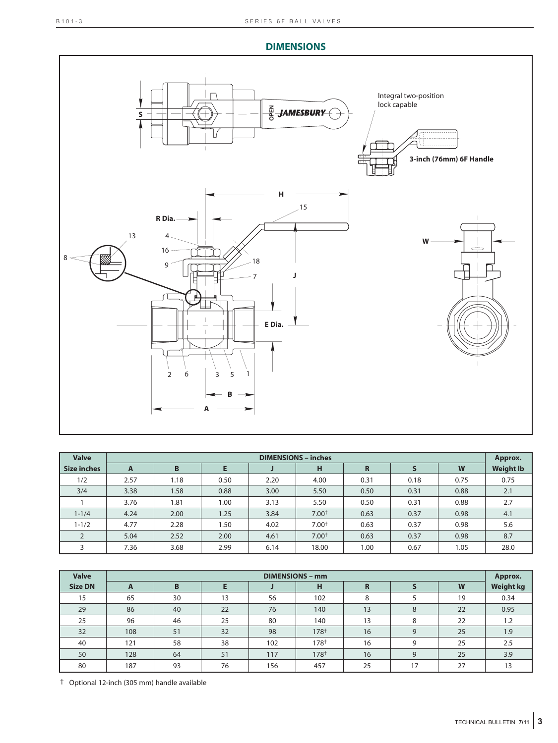### **DIMENSIONS**



| <b>Valve</b>       | <b>DIMENSIONS - inches</b> |      |      |      |         |      |      | Approx. |                  |
|--------------------|----------------------------|------|------|------|---------|------|------|---------|------------------|
| <b>Size inches</b> | $\mathsf{A}$               | B    | E    |      | н       | R    |      | W       | <b>Weight Ib</b> |
| 1/2                | 2.57                       | 1.18 | 0.50 | 2.20 | 4.00    | 0.31 | 0.18 | 0.75    | 0.75             |
| 3/4                | 3.38                       | 1.58 | 0.88 | 3.00 | 5.50    | 0.50 | 0.31 | 0.88    | 2.1              |
|                    | 3.76                       | 1.81 | 1.00 | 3.13 | 5.50    | 0.50 | 0.31 | 0.88    | 2.7              |
| $1 - 1/4$          | 4.24                       | 2.00 | 1.25 | 3.84 | $7.00+$ | 0.63 | 0.37 | 0.98    | 4.1              |
| $1 - 1/2$          | 4.77                       | 2.28 | .50  | 4.02 | $7.00+$ | 0.63 | 0.37 | 0.98    | 5.6              |
|                    | 5.04                       | 2.52 | 2.00 | 4.61 | $7.00+$ | 0.63 | 0.37 | 0.98    | 8.7              |
| 3                  | 7.36                       | 3.68 | 2.99 | 6.14 | 18.00   | 1.00 | 0.67 | 1.05    | 28.0             |

| <b>Valve</b>   | <b>DIMENSIONS - mm</b> |    |    |     |                  |             |    | Approx. |                  |
|----------------|------------------------|----|----|-----|------------------|-------------|----|---------|------------------|
| <b>Size DN</b> | $\mathbf{A}$           | B  |    |     | н                | $\mathbf R$ |    | W       | <b>Weight kg</b> |
| 15             | 65                     | 30 | 13 | 56  | 102              | 8           |    | 19      | 0.34             |
| 29             | 86                     | 40 | 22 | 76  | 140              | 13          | 8  | 22      | 0.95             |
| 25             | 96                     | 46 | 25 | 80  | 140              | 13          | 8  | 22      | 1.2              |
| 32             | 108                    | 51 | 32 | 98  | 178 <sup>+</sup> | 16          | 9  | 25      | 1.9              |
| 40             | 121                    | 58 | 38 | 102 | 178 <sup>+</sup> | 16          | 9  | 25      | 2.5              |
| 50             | 128                    | 64 | 51 | 117 | 178 <sup>+</sup> | 16          | 9  | 25      | 3.9              |
| 80             | 187                    | 93 | 76 | 156 | 457              | 25          | 17 | 27      | 13               |

† Optional 12-inch (305 mm) handle available